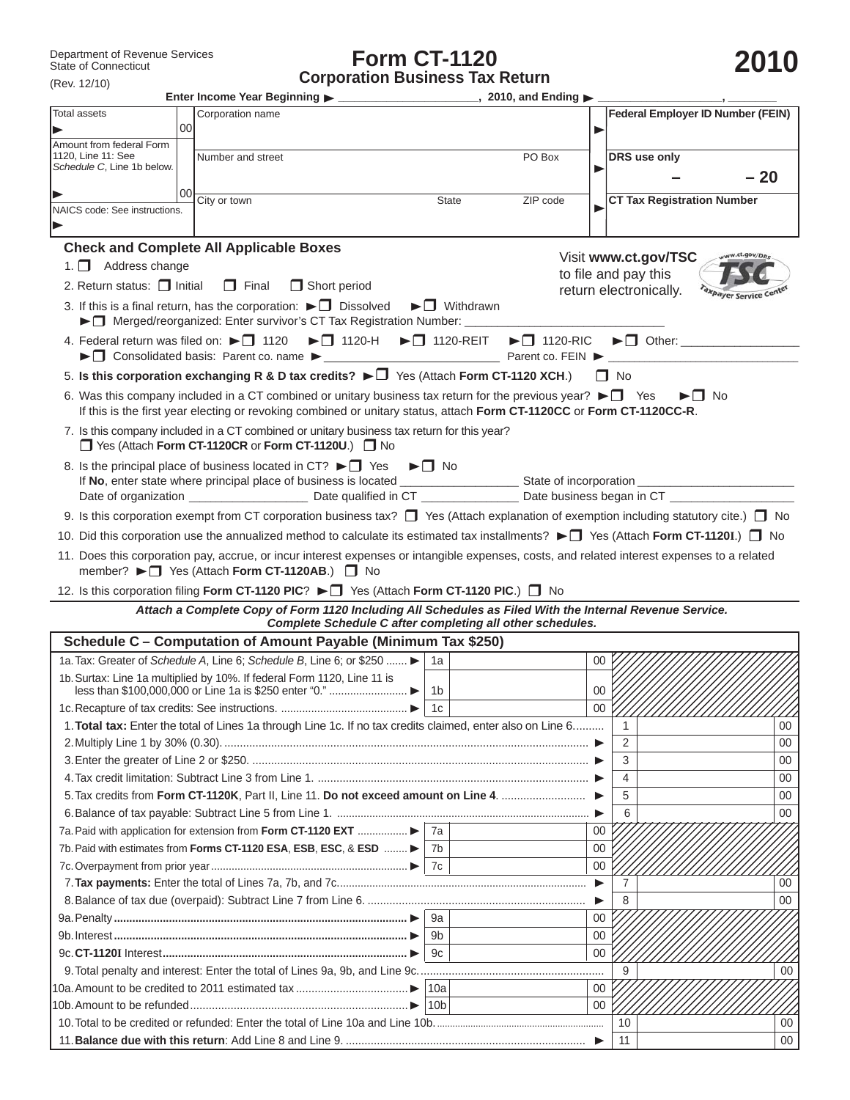## **Form CT-1120 Corporation Business Tax Return**

|  | 20 |  |  |
|--|----|--|--|
|--|----|--|--|

| $($ Rev. $12/10)$                                          |        |                                                                                                                                                                                                                                                             |                                          |                                                                         |           |                                           |
|------------------------------------------------------------|--------|-------------------------------------------------------------------------------------------------------------------------------------------------------------------------------------------------------------------------------------------------------------|------------------------------------------|-------------------------------------------------------------------------|-----------|-------------------------------------------|
| Total assets                                               |        | Corporation name                                                                                                                                                                                                                                            |                                          |                                                                         |           | <b>Federal Employer ID Number (FEIN)</b>  |
|                                                            | $00\,$ |                                                                                                                                                                                                                                                             |                                          | ▶                                                                       |           |                                           |
| Amount from federal Form<br>1120, Line 11: See             |        |                                                                                                                                                                                                                                                             |                                          |                                                                         |           |                                           |
| Schedule C, Line 1b below.                                 |        | Number and street                                                                                                                                                                                                                                           |                                          | PO Box<br>Þ                                                             |           | DRS use only                              |
|                                                            |        |                                                                                                                                                                                                                                                             |                                          |                                                                         |           | - 20                                      |
|                                                            | 00     | City or town                                                                                                                                                                                                                                                | <b>State</b>                             | ZIP code                                                                |           | <b>CT Tax Registration Number</b>         |
| NAICS code: See instructions.                              |        |                                                                                                                                                                                                                                                             |                                          |                                                                         |           |                                           |
|                                                            |        |                                                                                                                                                                                                                                                             |                                          |                                                                         |           |                                           |
|                                                            |        | <b>Check and Complete All Applicable Boxes</b>                                                                                                                                                                                                              |                                          |                                                                         |           | Visit www.ct.gov/TSC<br>ww.ct.gov/DRs     |
| 1. $\Box$ Address change                                   |        |                                                                                                                                                                                                                                                             |                                          | to file and pay this                                                    |           |                                           |
| 2. Return status: $\Box$ Initial                           |        | $\Box$ Final<br>$\Box$ Short period                                                                                                                                                                                                                         |                                          |                                                                         |           | return electronically.<br>axpayer Service |
|                                                            |        | 3. If this is a final return, has the corporation: $\blacktriangleright \Box$ Dissolved<br>► Merged/reorganized: Enter survivor's CT Tax Registration Number: _____                                                                                         | $\blacktriangleright$ $\sqcap$ Withdrawn |                                                                         |           |                                           |
| 4. Federal return was filed on: $\blacktriangleright$ 1120 |        | $\blacktriangleright$ 1120-H $\blacktriangleright$ 1120-REIT                                                                                                                                                                                                |                                          | $\blacktriangleright$ 1120-RIC<br>Parent co. FEIN $\blacktriangleright$ |           |                                           |
|                                                            |        | 5. Is this corporation exchanging R & D tax credits? $\blacktriangleright \Box$ Yes (Attach Form CT-1120 XCH.)                                                                                                                                              |                                          |                                                                         | $\Box$ No |                                           |
|                                                            |        | 6. Was this company included in a CT combined or unitary business tax return for the previous year? $\blacktriangleright \Box$ Yes<br>If this is the first year electing or revoking combined or unitary status, attach Form CT-1120CC or Form CT-1120CC-R. |                                          |                                                                         |           | $\blacktriangleright$ $\sqcap$ No         |
|                                                            |        | 7. Is this company included in a CT combined or unitary business tax return for this year?<br>□ Yes (Attach Form CT-1120CR or Form CT-1120U.) □ No                                                                                                          |                                          |                                                                         |           |                                           |
|                                                            |        | 8. Is the principal place of business located in CT? $\blacktriangleright \Box$ Yes                                                                                                                                                                         | $\blacktriangleright \Box$ No            |                                                                         |           |                                           |
|                                                            |        |                                                                                                                                                                                                                                                             |                                          |                                                                         |           |                                           |
|                                                            |        | 9. Is this corporation exempt from CT corporation business tax? $\Box$ Yes (Attach explanation of exemption including statutory cite.) $\Box$ No                                                                                                            |                                          |                                                                         |           |                                           |
|                                                            |        |                                                                                                                                                                                                                                                             |                                          |                                                                         |           |                                           |
|                                                            |        | 10. Did this corporation use the annualized method to calculate its estimated tax installments? ► ■ Yes (Attach Form CT-1120I.) ■ No                                                                                                                        |                                          |                                                                         |           |                                           |
|                                                            |        | 11. Does this corporation pay, accrue, or incur interest expenses or intangible expenses, costs, and related interest expenses to a related<br>member? ► D Yes (Attach Form CT-1120AB.) D No                                                                |                                          |                                                                         |           |                                           |
|                                                            |        | 12. Is this corporation filing Form CT-1120 PIC? ► ■ Yes (Attach Form CT-1120 PIC.) ■ No                                                                                                                                                                    |                                          |                                                                         |           |                                           |
|                                                            |        | Attach a Complete Copy of Form 1120 Including All Schedules as Filed With the Internal Revenue Service.<br>Complete Schedule C after completing all other schedules.                                                                                        |                                          |                                                                         |           |                                           |
|                                                            |        | Schedule C - Computation of Amount Payable (Minimum Tax \$250)                                                                                                                                                                                              |                                          |                                                                         |           |                                           |
|                                                            |        | 1a. Tax: Greater of Schedule A, Line 6; Schedule B, Line 6; or \$250                                                                                                                                                                                        | 1a                                       | 00                                                                      |           |                                           |
|                                                            |        | 1b. Surtax: Line 1a multiplied by 10%. If federal Form 1120, Line 11 is                                                                                                                                                                                     | 1b                                       | 00                                                                      |           |                                           |
|                                                            |        |                                                                                                                                                                                                                                                             |                                          | $00\,$                                                                  |           |                                           |
|                                                            |        | 1. Total tax: Enter the total of Lines 1a through Line 1c. If no tax credits claimed, enter also on Line 6                                                                                                                                                  |                                          |                                                                         | 1         | 00                                        |
|                                                            |        |                                                                                                                                                                                                                                                             |                                          |                                                                         | 2         | 00                                        |
|                                                            |        |                                                                                                                                                                                                                                                             |                                          |                                                                         | 3         | 00                                        |
|                                                            |        |                                                                                                                                                                                                                                                             |                                          |                                                                         | 4         | 00                                        |
|                                                            |        |                                                                                                                                                                                                                                                             |                                          |                                                                         | 5         | 00                                        |
|                                                            |        |                                                                                                                                                                                                                                                             |                                          |                                                                         | 6         | 00                                        |
|                                                            |        | 7a. Paid with application for extension from Form CT-1120 EXT                                                                                                                                                                                               | 7a                                       | 00                                                                      |           |                                           |
|                                                            |        | 7b. Paid with estimates from Forms CT-1120 ESA, ESB, ESC, & ESD                                                                                                                                                                                             | 7b                                       | 00                                                                      |           |                                           |
|                                                            |        |                                                                                                                                                                                                                                                             | 7с                                       | $00\,$                                                                  |           |                                           |
|                                                            |        |                                                                                                                                                                                                                                                             |                                          | ▶                                                                       | 7         | $00\,$                                    |
|                                                            |        |                                                                                                                                                                                                                                                             |                                          | ▶                                                                       | 8         | 00                                        |
|                                                            |        |                                                                                                                                                                                                                                                             | 9a                                       | 00                                                                      |           |                                           |
|                                                            |        |                                                                                                                                                                                                                                                             | 9b                                       | 00                                                                      |           |                                           |
|                                                            |        |                                                                                                                                                                                                                                                             | 9c                                       | $00\,$                                                                  |           |                                           |
|                                                            |        |                                                                                                                                                                                                                                                             |                                          |                                                                         | 9         | 00                                        |
|                                                            |        |                                                                                                                                                                                                                                                             |                                          | $00\,$                                                                  |           |                                           |
|                                                            |        |                                                                                                                                                                                                                                                             | 10 <sub>b</sub>                          | 00                                                                      |           |                                           |
|                                                            |        |                                                                                                                                                                                                                                                             |                                          |                                                                         | 10        | $00\,$                                    |

11. **Balance due with this return**: Add Line 8 and Line 9. ............................................................................. 11 00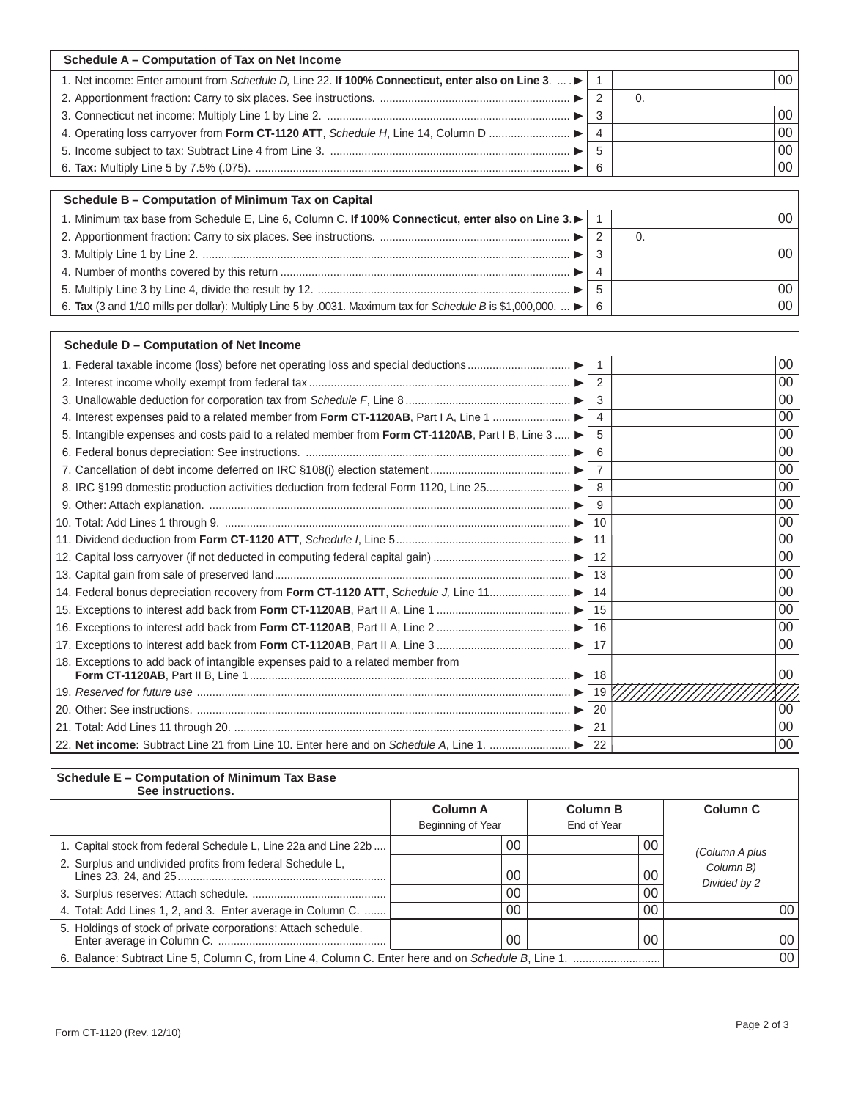| Schedule A - Computation of Tax on Net Income                                                              |     |    |
|------------------------------------------------------------------------------------------------------------|-----|----|
| 1. Net income: Enter amount from Schedule D, Line 22. If 100% Connecticut, enter also on Line 3. $\dots$ . |     | 00 |
|                                                                                                            |     |    |
|                                                                                                            |     | 00 |
|                                                                                                            | -4  | 00 |
|                                                                                                            |     | 00 |
|                                                                                                            | - 6 | 00 |

| Schedule B - Computation of Minimum Tax on Capital                                                                                 |                 |
|------------------------------------------------------------------------------------------------------------------------------------|-----------------|
| 1. Minimum tax base from Schedule E, Line 6, Column C. If 100% Connecticut, enter also on Line 3.                                  | 00 <sub>1</sub> |
|                                                                                                                                    |                 |
|                                                                                                                                    | 00 <sub>1</sub> |
|                                                                                                                                    |                 |
|                                                                                                                                    | 00 <sub>1</sub> |
| 6. Tax (3 and 1/10 mills per dollar): Multiply Line 5 by .0031. Maximum tax for Schedule B is \$1,000,000. $\blacktriangleright$ 6 | 00 <sub>1</sub> |

| Schedule D - Computation of Net Income                                                          |                |        |
|-------------------------------------------------------------------------------------------------|----------------|--------|
| 1. Federal taxable income (loss) before net operating loss and special deductions               |                | $00\,$ |
|                                                                                                 | $\overline{2}$ | 00     |
|                                                                                                 | 3              | 00     |
| 4. Interest expenses paid to a related member from Form CT-1120AB, Part I A, Line 1             | 4              | 00     |
| 5. Intangible expenses and costs paid to a related member from Form CT-1120AB, Part I B, Line 3 | 5              | 00     |
|                                                                                                 | 6              | 00     |
|                                                                                                 |                | 00     |
| 8. IRC §199 domestic production activities deduction from federal Form 1120, Line 25            |                | 00     |
|                                                                                                 | 9              | 00     |
|                                                                                                 | 10             | 00     |
|                                                                                                 | 11             | 00     |
|                                                                                                 | 12             | 00     |
|                                                                                                 | 13             | 00     |
| 14. Federal bonus depreciation recovery from Form CT-1120 ATT, Schedule J, Line 11              | 14             | 00     |
|                                                                                                 | 15             | 00     |
|                                                                                                 | 16             | 00     |
|                                                                                                 | 17             | 00     |
| 18. Exceptions to add back of intangible expenses paid to a related member from                 | 18             | 00     |
|                                                                                                 | 19             |        |
|                                                                                                 | 20             | 00     |
|                                                                                                 | 21             | 00     |
| 22. Net income: Subtract Line 21 from Line 10. Enter here and on Schedule A, Line 1.            | 22             | 00     |

| Schedule E - Computation of Minimum Tax Base<br>See instructions. |                                      |                                |                           |                 |
|-------------------------------------------------------------------|--------------------------------------|--------------------------------|---------------------------|-----------------|
|                                                                   | <b>Column A</b><br>Beginning of Year | <b>Column B</b><br>End of Year | Column <sub>C</sub>       |                 |
| 1. Capital stock from federal Schedule L, Line 22a and Line 22b   | 00                                   | 00                             | (Column A plus            |                 |
| 2. Surplus and undivided profits from federal Schedule L,         | 00                                   | 00                             | Column B)<br>Divided by 2 |                 |
|                                                                   | 00                                   | 00                             |                           |                 |
| 4. Total: Add Lines 1, 2, and 3. Enter average in Column C.       | 00                                   | 00                             |                           | 00 <sup>°</sup> |
| 5. Holdings of stock of private corporations: Attach schedule.    | 00                                   | 00                             |                           | 00              |
|                                                                   |                                      | 00                             |                           |                 |